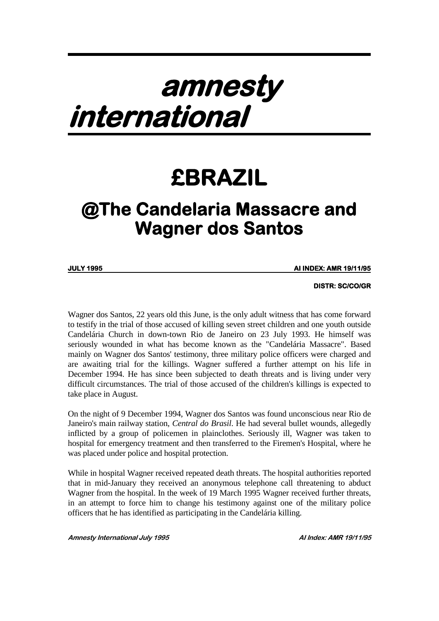## **amnesty international**

## **£BRAZIL**

## **@The Candelaria Massacre and Wagner dos Santos**

**JULY 1995** 

**JULY 1995 AI INDEX: AMR 19/11/95** 

 **DISTR: SC/CO/GR**

Wagner dos Santos, 22 years old this June, is the only adult witness that has come forward to testify in the trial of those accused of killing seven street children and one youth outside Candelária Church in down-town Rio de Janeiro on 23 July 1993. He himself was seriously wounded in what has become known as the "Candelária Massacre". Based mainly on Wagner dos Santos' testimony, three military police officers were charged and are awaiting trial for the killings. Wagner suffered a further attempt on his life in December 1994. He has since been subjected to death threats and is living under very difficult circumstances. The trial of those accused of the children's killings is expected to take place in August.

On the night of 9 December 1994, Wagner dos Santos was found unconscious near Rio de Janeiro's main railway station, *Central do Brasil*. He had several bullet wounds, allegedly inflicted by a group of policemen in plainclothes. Seriously ill, Wagner was taken to hospital for emergency treatment and then transferred to the Firemen's Hospital, where he was placed under police and hospital protection.

While in hospital Wagner received repeated death threats. The hospital authorities reported that in mid-January they received an anonymous telephone call threatening to abduct Wagner from the hospital. In the week of 19 March 1995 Wagner received further threats, in an attempt to force him to change his testimony against one of the military police officers that he has identified as participating in the Candelária killing.

**Amnesty International July 1995 AI Index: AMR 19/11/95**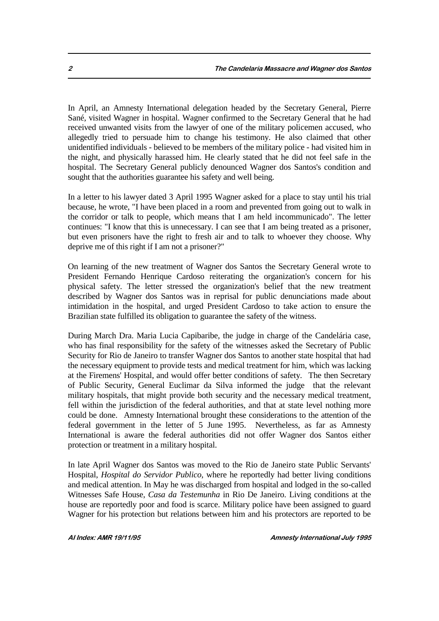In April, an Amnesty International delegation headed by the Secretary General, Pierre Sané, visited Wagner in hospital. Wagner confirmed to the Secretary General that he had received unwanted visits from the lawyer of one of the military policemen accused, who allegedly tried to persuade him to change his testimony. He also claimed that other unidentified individuals - believed to be members of the military police - had visited him in the night, and physically harassed him. He clearly stated that he did not feel safe in the hospital. The Secretary General publicly denounced Wagner dos Santos's condition and sought that the authorities guarantee his safety and well being.

In a letter to his lawyer dated 3 April 1995 Wagner asked for a place to stay until his trial because, he wrote, "I have been placed in a room and prevented from going out to walk in the corridor or talk to people, which means that I am held incommunicado". The letter continues: "I know that this is unnecessary. I can see that I am being treated as a prisoner, but even prisoners have the right to fresh air and to talk to whoever they choose. Why deprive me of this right if I am not a prisoner?"

On learning of the new treatment of Wagner dos Santos the Secretary General wrote to President Fernando Henrique Cardoso reiterating the organization's concern for his physical safety. The letter stressed the organization's belief that the new treatment described by Wagner dos Santos was in reprisal for public denunciations made about intimidation in the hospital, and urged President Cardoso to take action to ensure the Brazilian state fulfilled its obligation to guarantee the safety of the witness.

During March Dra. Maria Lucia Capibaribe, the judge in charge of the Candelária case, who has final responsibility for the safety of the witnesses asked the Secretary of Public Security for Rio de Janeiro to transfer Wagner dos Santos to another state hospital that had the necessary equipment to provide tests and medical treatment for him, which was lacking at the Firemens' Hospital, and would offer better conditions of safety. The then Secretary of Public Security, General Euclimar da Silva informed the judge that the relevant military hospitals, that might provide both security and the necessary medical treatment, fell within the jurisdiction of the federal authorities, and that at state level nothing more could be done. Amnesty International brought these considerations to the attention of the federal government in the letter of 5 June 1995. Nevertheless, as far as Amnesty International is aware the federal authorities did not offer Wagner dos Santos either protection or treatment in a military hospital.

In late April Wagner dos Santos was moved to the Rio de Janeiro state Public Servants' Hospital, *Hospital do Servidor Publico*, where he reportedly had better living conditions and medical attention. In May he was discharged from hospital and lodged in the so-called Witnesses Safe House, *Casa da Testemunha* in Rio De Janeiro. Living conditions at the house are reportedly poor and food is scarce. Military police have been assigned to guard Wagner for his protection but relations between him and his protectors are reported to be

**AI Index: AMR 19/11/95 Amnesty International July 1995**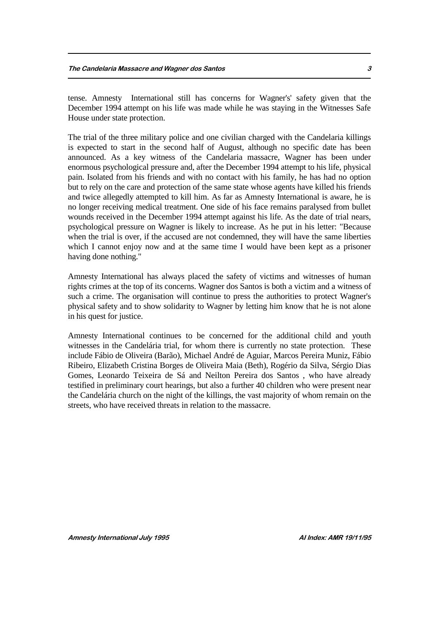tense. Amnesty International still has concerns for Wagner's' safety given that the December 1994 attempt on his life was made while he was staying in the Witnesses Safe House under state protection.

The trial of the three military police and one civilian charged with the Candelaria killings is expected to start in the second half of August, although no specific date has been announced. As a key witness of the Candelaria massacre, Wagner has been under enormous psychological pressure and, after the December 1994 attempt to his life, physical pain. Isolated from his friends and with no contact with his family, he has had no option but to rely on the care and protection of the same state whose agents have killed his friends and twice allegedly attempted to kill him. As far as Amnesty International is aware, he is no longer receiving medical treatment. One side of his face remains paralysed from bullet wounds received in the December 1994 attempt against his life. As the date of trial nears, psychological pressure on Wagner is likely to increase. As he put in his letter: "Because when the trial is over, if the accused are not condemned, they will have the same liberties which I cannot enjoy now and at the same time I would have been kept as a prisoner having done nothing."

Amnesty International has always placed the safety of victims and witnesses of human rights crimes at the top of its concerns. Wagner dos Santos is both a victim and a witness of such a crime. The organisation will continue to press the authorities to protect Wagner's physical safety and to show solidarity to Wagner by letting him know that he is not alone in his quest for justice.

Amnesty International continues to be concerned for the additional child and youth witnesses in the Candelária trial, for whom there is currently no state protection. These include Fábio de Oliveira (Barão), Michael André de Aguiar, Marcos Pereira Muniz, Fábio Ribeiro, Elizabeth Cristina Borges de Oliveira Maia (Beth), Rogério da Silva, Sérgio Dias Gomes, Leonardo Teixeira de Sá and Neilton Pereira dos Santos , who have already testified in preliminary court hearings, but also a further 40 children who were present near the Candelária church on the night of the killings, the vast majority of whom remain on the streets, who have received threats in relation to the massacre.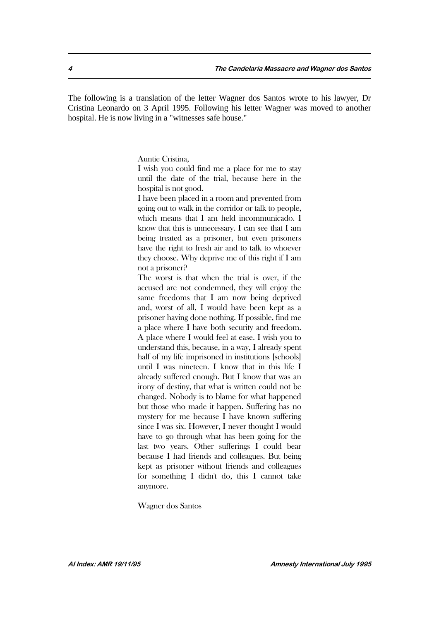The following is a translation of the letter Wagner dos Santos wrote to his lawyer, Dr Cristina Leonardo on 3 April 1995. Following his letter Wagner was moved to another hospital. He is now living in a "witnesses safe house."

Auntie Cristina,

I wish you could find me a place for me to stay until the date of the trial, because here in the hospital is not good.

I have been placed in a room and prevented from going out to walk in the corridor or talk to people, which means that I am held incommunicado. I know that this is unnecessary. I can see that I am being treated as a prisoner, but even prisoners have the right to fresh air and to talk to whoever they choose. Why deprive me of this right if I am not a prisoner?

The worst is that when the trial is over, if the accused are not condemned, they will enjoy the same freedoms that I am now being deprived and, worst of all, I would have been kept as a prisoner having done nothing. If possible, find me a place where I have both security and freedom. A place where I would feel at ease. I wish you to understand this, because, in a way, I already spent half of my life imprisoned in institutions [schools] until I was nineteen. I know that in this life I already suffered enough. But I know that was an irony of destiny, that what is written could not be changed. Nobody is to blame for what happened but those who made it happen. Suffering has no mystery for me because I have known suffering since I was six. However, I never thought I would have to go through what has been going for the last two years. Other sufferings I could bear because I had friends and colleagues. But being kept as prisoner without friends and colleagues for something I didn't do, this I cannot take anymore.

Wagner dos Santos